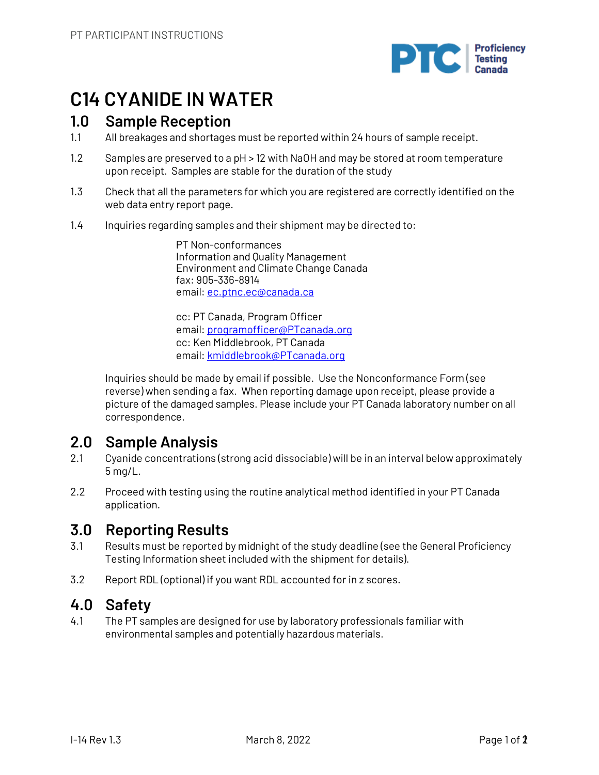

# **C14 CYANIDE IN WATER**

# **1.0 Sample Reception**

- 1.1 All breakages and shortages must be reported within 24 hours of sample receipt.
- 1.2 Samples are preserved to a pH > 12 with NaOH and may be stored at room temperature upon receipt. Samples are stable for the duration of the study
- 1.3 Check that all the parameters for which you are registered are correctly identified on the web data entry report page.
- 1.4 Inquiries regarding samples and their shipment may be directed to:

PT Non-conformances Information and Quality Management Environment and Climate Change Canada fax: 905-336-8914 email: ec.ptnc.ec@canada.ca

cc: PT Canada, Program Officer email: programofficer@PTcanada.org cc: Ken Middlebrook, PT Canada email: kmiddlebrook@PTcanada.org

Inquiries should be made by email if possible. Use the Nonconformance Form (see reverse) when sending a fax. When reporting damage upon receipt, please provide a picture of the damaged samples. Please include your PT Canada laboratory number on all correspondence.

# **2.0 Sample Analysis**

- 2.1 Cyanide concentrations (strong acid dissociable) will be in an interval below approximately 5 mg/L.
- 2.2 Proceed with testing using the routine analytical method identified in your PT Canada application.

# **3.0 Reporting Results**

- 3.1 Results must be reported by midnight of the study deadline (see the General Proficiency Testing Information sheet included with the shipment for details).
- 3.2 Report RDL (optional) if you want RDL accounted for in z scores.

# **4.0 Safety**

4.1 The PT samples are designed for use by laboratory professionals familiar with environmental samples and potentially hazardous materials.